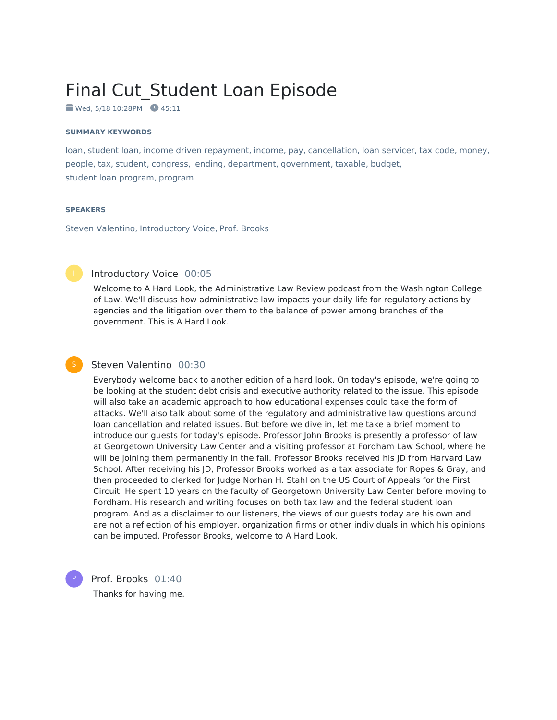# Final Cut\_Student Loan Episode

 $\bullet$  Wed, 5/18 10:28PM  $\bullet$  45:11

#### **SUMMARY KEYWORDS**

loan, student loan, income driven repayment, income, pay, cancellation, loan servicer, tax code, money, people, tax, student, congress, lending, department, government, taxable, budget, student loan program, program

#### **SPEAKERS**

Steven Valentino, Introductory Voice, Prof. Brooks



#### Introductory Voice 00:05

Welcome to A Hard Look, the Administrative Law Review podcast from the Washington College of Law. We'll discuss how administrative law impacts your daily life for regulatory actions by agencies and the litigation over them to the balance of power among branches of the government. This is A Hard Look.

#### Steven Valentino 00:30

Everybody welcome back to another edition of a hard look. On today's episode, we're going to be looking at the student debt crisis and executive authority related to the issue. This episode will also take an academic approach to how educational expenses could take the form of attacks. We'll also talk about some of the regulatory and administrative law questions around loan cancellation and related issues. But before we dive in, let me take a brief moment to introduce our guests for today's episode. Professor John Brooks is presently a professor of law at Georgetown University Law Center and a visiting professor at Fordham Law School, where he will be joining them permanently in the fall. Professor Brooks received his JD from Harvard Law School. After receiving his JD, Professor Brooks worked as a tax associate for Ropes & Gray, and then proceeded to clerked for Judge Norhan H. Stahl on the US Court of Appeals for the First Circuit. He spent 10 years on the faculty of Georgetown University Law Center before moving to Fordham. His research and writing focuses on both tax law and the federal student loan program. And as a disclaimer to our listeners, the views of our guests today are his own and are not a reflection of his employer, organization firms or other individuals in which his opinions can be imputed. Professor Brooks, welcome to A Hard Look.



Prof. Brooks 01:40 Thanks for having me.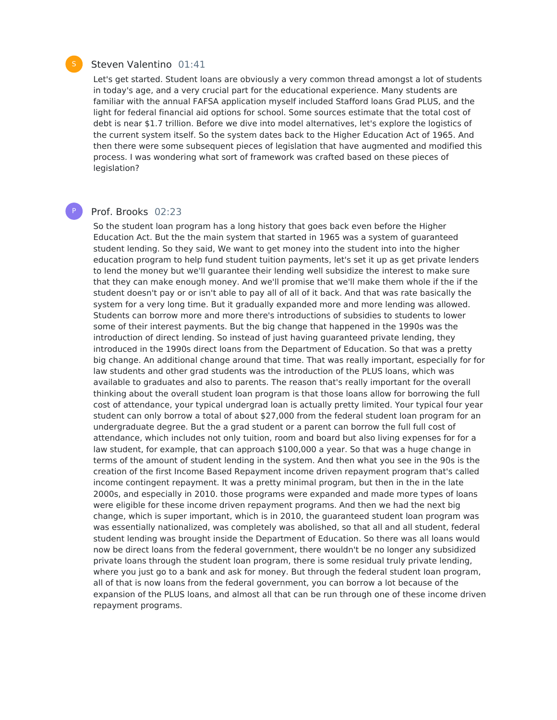# Steven Valentino 01:41

Let's get started. Student loans are obviously a very common thread amongst a lot of students in today's age, and a very crucial part for the educational experience. Many students are familiar with the annual FAFSA application myself included Stafford loans Grad PLUS, and the light for federal financial aid options for school. Some sources estimate that the total cost of debt is near \$1.7 trillion. Before we dive into model alternatives, let's explore the logistics of the current system itself. So the system dates back to the Higher Education Act of 1965. And then there were some subsequent pieces of legislation that have augmented and modified this process. I was wondering what sort of framework was crafted based on these pieces of legislation?

# P

# Prof. Brooks 02:23

So the student loan program has a long history that goes back even before the Higher Education Act. But the the main system that started in 1965 was a system of guaranteed student lending. So they said, We want to get money into the student into into the higher education program to help fund student tuition payments, let's set it up as get private lenders to lend the money but we'll guarantee their lending well subsidize the interest to make sure that they can make enough money. And we'll promise that we'll make them whole if the if the student doesn't pay or or isn't able to pay all of all of it back. And that was rate basically the system for a very long time. But it gradually expanded more and more lending was allowed. Students can borrow more and more there's introductions of subsidies to students to lower some of their interest payments. But the big change that happened in the 1990s was the introduction of direct lending. So instead of just having guaranteed private lending, they introduced in the 1990s direct loans from the Department of Education. So that was a pretty big change. An additional change around that time. That was really important, especially for for law students and other grad students was the introduction of the PLUS loans, which was available to graduates and also to parents. The reason that's really important for the overall thinking about the overall student loan program is that those loans allow for borrowing the full cost of attendance, your typical undergrad loan is actually pretty limited. Your typical four year student can only borrow a total of about \$27,000 from the federal student loan program for an undergraduate degree. But the a grad student or a parent can borrow the full full cost of attendance, which includes not only tuition, room and board but also living expenses for for a law student, for example, that can approach \$100,000 a year. So that was a huge change in terms of the amount of student lending in the system. And then what you see in the 90s is the creation of the first Income Based Repayment income driven repayment program that's called income contingent repayment. It was a pretty minimal program, but then in the in the late 2000s, and especially in 2010. those programs were expanded and made more types of loans were eligible for these income driven repayment programs. And then we had the next big change, which is super important, which is in 2010, the guaranteed student loan program was was essentially nationalized, was completely was abolished, so that all and all student, federal student lending was brought inside the Department of Education. So there was all loans would now be direct loans from the federal government, there wouldn't be no longer any subsidized private loans through the student loan program, there is some residual truly private lending, where you just go to a bank and ask for money. But through the federal student loan program, all of that is now loans from the federal government, you can borrow a lot because of the expansion of the PLUS loans, and almost all that can be run through one of these income driven repayment programs.

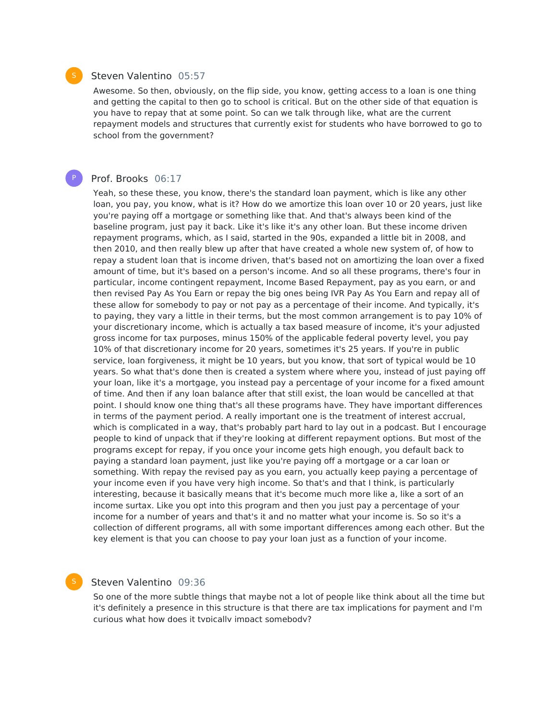#### Steven Valentino 05:57

Awesome. So then, obviously, on the flip side, you know, getting access to a loan is one thing and getting the capital to then go to school is critical. But on the other side of that equation is you have to repay that at some point. So can we talk through like, what are the current repayment models and structures that currently exist for students who have borrowed to go to school from the government?

# Prof. Brooks 06:17

Yeah, so these these, you know, there's the standard loan payment, which is like any other loan, you pay, you know, what is it? How do we amortize this loan over 10 or 20 years, just like you're paying off a mortgage or something like that. And that's always been kind of the baseline program, just pay it back. Like it's like it's any other loan. But these income driven repayment programs, which, as I said, started in the 90s, expanded a little bit in 2008, and then 2010, and then really blew up after that have created a whole new system of, of how to repay a student loan that is income driven, that's based not on amortizing the loan over a fixed amount of time, but it's based on a person's income. And so all these programs, there's four in particular, income contingent repayment, Income Based Repayment, pay as you earn, or and then revised Pay As You Earn or repay the big ones being IVR Pay As You Earn and repay all of these allow for somebody to pay or not pay as a percentage of their income. And typically, it's to paying, they vary a little in their terms, but the most common arrangement is to pay 10% of your discretionary income, which is actually a tax based measure of income, it's your adjusted gross income for tax purposes, minus 150% of the applicable federal poverty level, you pay 10% of that discretionary income for 20 years, sometimes it's 25 years. If you're in public service, loan forgiveness, it might be 10 years, but you know, that sort of typical would be 10 years. So what that's done then is created a system where where you, instead of just paying off your loan, like it's a mortgage, you instead pay a percentage of your income for a fixed amount of time. And then if any loan balance after that still exist, the loan would be cancelled at that point. I should know one thing that's all these programs have. They have important differences in terms of the payment period. A really important one is the treatment of interest accrual, which is complicated in a way, that's probably part hard to lay out in a podcast. But I encourage people to kind of unpack that if they're looking at different repayment options. But most of the programs except for repay, if you once your income gets high enough, you default back to paying a standard loan payment, just like you're paying off a mortgage or a car loan or something. With repay the revised pay as you earn, you actually keep paying a percentage of your income even if you have very high income. So that's and that I think, is particularly interesting, because it basically means that it's become much more like a, like a sort of an income surtax. Like you opt into this program and then you just pay a percentage of your income for a number of years and that's it and no matter what your income is. So so it's a collection of different programs, all with some important differences among each other. But the key element is that you can choose to pay your loan just as a function of your income.

# Steven Valentino 09:36

So one of the more subtle things that maybe not a lot of people like think about all the time but it's definitely a presence in this structure is that there are tax implications for payment and I'm curious what how does it typically impact somebody?



P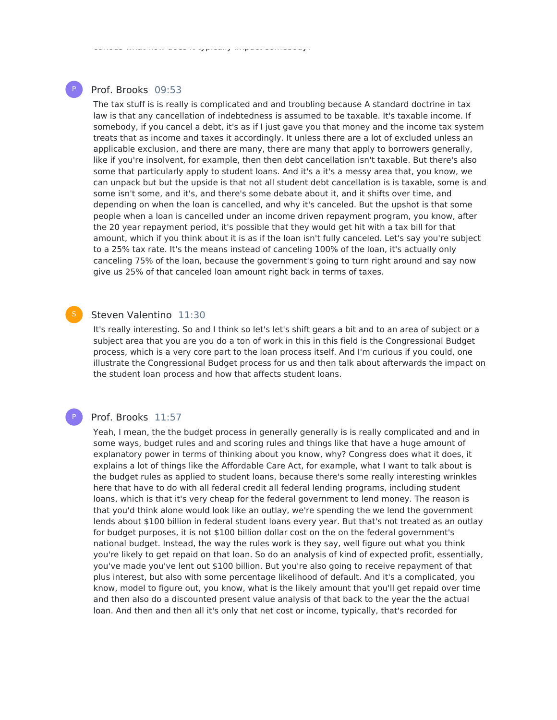# Prof. Brooks 09:53

P

curious what how does it typically impact somebody?

The tax stuff is is really is complicated and and troubling because A standard doctrine in tax law is that any cancellation of indebtedness is assumed to be taxable. It's taxable income. If somebody, if you cancel a debt, it's as if I just gave you that money and the income tax system treats that as income and taxes it accordingly. It unless there are a lot of excluded unless an applicable exclusion, and there are many, there are many that apply to borrowers generally, like if you're insolvent, for example, then then debt cancellation isn't taxable. But there's also some that particularly apply to student loans. And it's a it's a messy area that, you know, we can unpack but but the upside is that not all student debt cancellation is is taxable, some is and some isn't some, and it's, and there's some debate about it, and it shifts over time, and depending on when the loan is cancelled, and why it's canceled. But the upshot is that some people when a loan is cancelled under an income driven repayment program, you know, after the 20 year repayment period, it's possible that they would get hit with a tax bill for that amount, which if you think about it is as if the loan isn't fully canceled. Let's say you're subject to a 25% tax rate. It's the means instead of canceling 100% of the loan, it's actually only canceling 75% of the loan, because the government's going to turn right around and say now give us 25% of that canceled loan amount right back in terms of taxes.

## Steven Valentino 11:30

It's really interesting. So and I think so let's let's shift gears a bit and to an area of subject or a subject area that you are you do a ton of work in this in this field is the Congressional Budget process, which is a very core part to the loan process itself. And I'm curious if you could, one illustrate the Congressional Budget process for us and then talk about afterwards the impact on the student loan process and how that affects student loans.

# Prof. Brooks 11:57

P

Yeah, I mean, the the budget process in generally generally is is really complicated and and in some ways, budget rules and and scoring rules and things like that have a huge amount of explanatory power in terms of thinking about you know, why? Congress does what it does, it explains a lot of things like the Affordable Care Act, for example, what I want to talk about is the budget rules as applied to student loans, because there's some really interesting wrinkles here that have to do with all federal credit all federal lending programs, including student loans, which is that it's very cheap for the federal government to lend money. The reason is that you'd think alone would look like an outlay, we're spending the we lend the government lends about \$100 billion in federal student loans every year. But that's not treated as an outlay for budget purposes, it is not \$100 billion dollar cost on the on the federal government's national budget. Instead, the way the rules work is they say, well figure out what you think you're likely to get repaid on that loan. So do an analysis of kind of expected profit, essentially, you've made you've lent out \$100 billion. But you're also going to receive repayment of that plus interest, but also with some percentage likelihood of default. And it's a complicated, you know, model to figure out, you know, what is the likely amount that you'll get repaid over time and then also do a discounted present value analysis of that back to the year the the actual loan. And then and then all it's only that net cost or income, typically, that's recorded for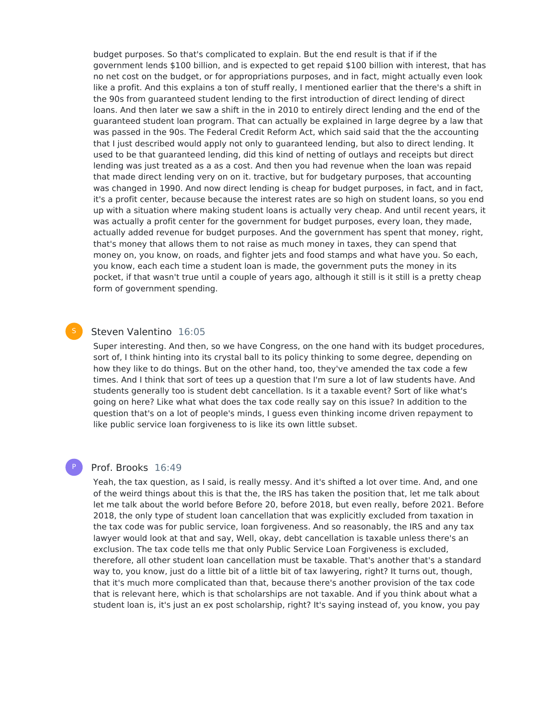budget purposes. So that's complicated to explain. But the end result is that if if the government lends \$100 billion, and is expected to get repaid \$100 billion with interest, that has no net cost on the budget, or for appropriations purposes, and in fact, might actually even look like a profit. And this explains a ton of stuff really, I mentioned earlier that the there's a shift in the 90s from guaranteed student lending to the first introduction of direct lending of direct loans. And then later we saw a shift in the in 2010 to entirely direct lending and the end of the guaranteed student loan program. That can actually be explained in large degree by a law that was passed in the 90s. The Federal Credit Reform Act, which said said that the the accounting that I just described would apply not only to guaranteed lending, but also to direct lending. It used to be that guaranteed lending, did this kind of netting of outlays and receipts but direct lending was just treated as a as a cost. And then you had revenue when the loan was repaid that made direct lending very on on it. tractive, but for budgetary purposes, that accounting was changed in 1990. And now direct lending is cheap for budget purposes, in fact, and in fact, it's a profit center, because because the interest rates are so high on student loans, so you end up with a situation where making student loans is actually very cheap. And until recent years, it was actually a profit center for the government for budget purposes, every loan, they made, actually added revenue for budget purposes. And the government has spent that money, right, that's money that allows them to not raise as much money in taxes, they can spend that money on, you know, on roads, and fighter jets and food stamps and what have you. So each, you know, each each time a student loan is made, the government puts the money in its pocket, if that wasn't true until a couple of years ago, although it still is it still is a pretty cheap form of government spending.

# Steven Valentino 16:05

Super interesting. And then, so we have Congress, on the one hand with its budget procedures, sort of, I think hinting into its crystal ball to its policy thinking to some degree, depending on how they like to do things. But on the other hand, too, they've amended the tax code a few times. And I think that sort of tees up a question that I'm sure a lot of law students have. And students generally too is student debt cancellation. Is it a taxable event? Sort of like what's going on here? Like what what does the tax code really say on this issue? In addition to the question that's on a lot of people's minds, I guess even thinking income driven repayment to like public service loan forgiveness to is like its own little subset.

#### Prof. Brooks 16:49

P

Yeah, the tax question, as I said, is really messy. And it's shifted a lot over time. And, and one of the weird things about this is that the, the IRS has taken the position that, let me talk about let me talk about the world before Before 20, before 2018, but even really, before 2021. Before 2018, the only type of student loan cancellation that was explicitly excluded from taxation in the tax code was for public service, loan forgiveness. And so reasonably, the IRS and any tax lawyer would look at that and say, Well, okay, debt cancellation is taxable unless there's an exclusion. The tax code tells me that only Public Service Loan Forgiveness is excluded, therefore, all other student loan cancellation must be taxable. That's another that's a standard way to, you know, just do a little bit of a little bit of tax lawyering, right? It turns out, though, that it's much more complicated than that, because there's another provision of the tax code that is relevant here, which is that scholarships are not taxable. And if you think about what a student loan is, it's just an ex post scholarship, right? It's saying instead of, you know, you pay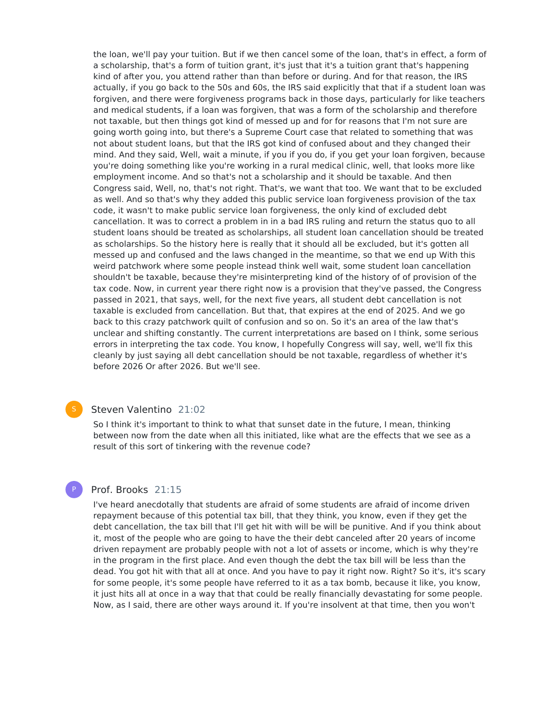the loan, we'll pay your tuition. But if we then cancel some of the loan, that's in effect, a form of a scholarship, that's a form of tuition grant, it's just that it's a tuition grant that's happening kind of after you, you attend rather than than before or during. And for that reason, the IRS actually, if you go back to the 50s and 60s, the IRS said explicitly that that if a student loan was forgiven, and there were forgiveness programs back in those days, particularly for like teachers and medical students, if a loan was forgiven, that was a form of the scholarship and therefore not taxable, but then things got kind of messed up and for for reasons that I'm not sure are going worth going into, but there's a Supreme Court case that related to something that was not about student loans, but that the IRS got kind of confused about and they changed their mind. And they said, Well, wait a minute, if you if you do, if you get your loan forgiven, because you're doing something like you're working in a rural medical clinic, well, that looks more like employment income. And so that's not a scholarship and it should be taxable. And then Congress said, Well, no, that's not right. That's, we want that too. We want that to be excluded as well. And so that's why they added this public service loan forgiveness provision of the tax code, it wasn't to make public service loan forgiveness, the only kind of excluded debt cancellation. It was to correct a problem in in a bad IRS ruling and return the status quo to all student loans should be treated as scholarships, all student loan cancellation should be treated as scholarships. So the history here is really that it should all be excluded, but it's gotten all messed up and confused and the laws changed in the meantime, so that we end up With this weird patchwork where some people instead think well wait, some student loan cancellation shouldn't be taxable, because they're misinterpreting kind of the history of of provision of the tax code. Now, in current year there right now is a provision that they've passed, the Congress passed in 2021, that says, well, for the next five years, all student debt cancellation is not taxable is excluded from cancellation. But that, that expires at the end of 2025. And we go back to this crazy patchwork quilt of confusion and so on. So it's an area of the law that's unclear and shifting constantly. The current interpretations are based on I think, some serious errors in interpreting the tax code. You know, I hopefully Congress will say, well, we'll fix this cleanly by just saying all debt cancellation should be not taxable, regardless of whether it's before 2026 Or after 2026. But we'll see.

# Steven Valentino 21:02

So I think it's important to think to what that sunset date in the future, I mean, thinking between now from the date when all this initiated, like what are the effects that we see as a result of this sort of tinkering with the revenue code?

# Prof. Brooks 21:15

P

I've heard anecdotally that students are afraid of some students are afraid of income driven repayment because of this potential tax bill, that they think, you know, even if they get the debt cancellation, the tax bill that I'll get hit with will be will be punitive. And if you think about it, most of the people who are going to have the their debt canceled after 20 years of income driven repayment are probably people with not a lot of assets or income, which is why they're in the program in the first place. And even though the debt the tax bill will be less than the dead. You got hit with that all at once. And you have to pay it right now. Right? So it's, it's scary for some people, it's some people have referred to it as a tax bomb, because it like, you know, it just hits all at once in a way that that could be really financially devastating for some people. Now, as I said, there are other ways around it. If you're insolvent at that time, then you won't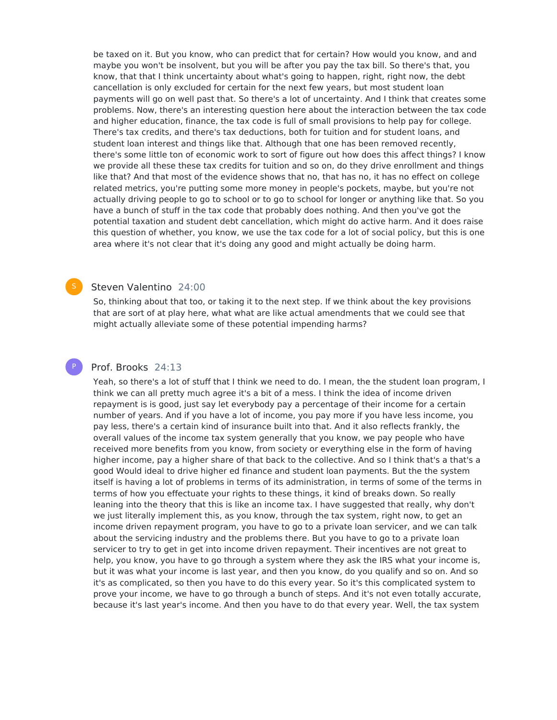be taxed on it. But you know, who can predict that for certain? How would you know, and and maybe you won't be insolvent, but you will be after you pay the tax bill. So there's that, you know, that that I think uncertainty about what's going to happen, right, right now, the debt cancellation is only excluded for certain for the next few years, but most student loan payments will go on well past that. So there's a lot of uncertainty. And I think that creates some problems. Now, there's an interesting question here about the interaction between the tax code and higher education, finance, the tax code is full of small provisions to help pay for college. There's tax credits, and there's tax deductions, both for tuition and for student loans, and student loan interest and things like that. Although that one has been removed recently, there's some little ton of economic work to sort of figure out how does this affect things? I know we provide all these these tax credits for tuition and so on, do they drive enrollment and things like that? And that most of the evidence shows that no, that has no, it has no effect on college related metrics, you're putting some more money in people's pockets, maybe, but you're not actually driving people to go to school or to go to school for longer or anything like that. So you have a bunch of stuff in the tax code that probably does nothing. And then you've got the potential taxation and student debt cancellation, which might do active harm. And it does raise this question of whether, you know, we use the tax code for a lot of social policy, but this is one area where it's not clear that it's doing any good and might actually be doing harm.

# Steven Valentino 24:00

So, thinking about that too, or taking it to the next step. If we think about the key provisions that are sort of at play here, what what are like actual amendments that we could see that might actually alleviate some of these potential impending harms?

#### Prof. Brooks 24:13

P

Yeah, so there's a lot of stuff that I think we need to do. I mean, the the student loan program, I think we can all pretty much agree it's a bit of a mess. I think the idea of income driven repayment is is good, just say let everybody pay a percentage of their income for a certain number of years. And if you have a lot of income, you pay more if you have less income, you pay less, there's a certain kind of insurance built into that. And it also reflects frankly, the overall values of the income tax system generally that you know, we pay people who have received more benefits from you know, from society or everything else in the form of having higher income, pay a higher share of that back to the collective. And so I think that's a that's a good Would ideal to drive higher ed finance and student loan payments. But the the system itself is having a lot of problems in terms of its administration, in terms of some of the terms in terms of how you effectuate your rights to these things, it kind of breaks down. So really leaning into the theory that this is like an income tax. I have suggested that really, why don't we just literally implement this, as you know, through the tax system, right now, to get an income driven repayment program, you have to go to a private loan servicer, and we can talk about the servicing industry and the problems there. But you have to go to a private loan servicer to try to get in get into income driven repayment. Their incentives are not great to help, you know, you have to go through a system where they ask the IRS what your income is, but it was what your income is last year, and then you know, do you qualify and so on. And so it's as complicated, so then you have to do this every year. So it's this complicated system to prove your income, we have to go through a bunch of steps. And it's not even totally accurate, because it's last year's income. And then you have to do that every year. Well, the tax system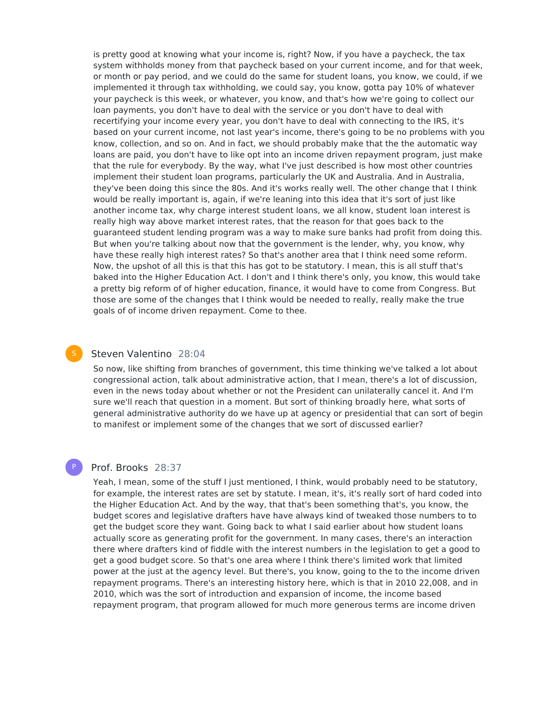is pretty good at knowing what your income is, right? Now, if you have a paycheck, the tax system withholds money from that paycheck based on your current income, and for that week, or month or pay period, and we could do the same for student loans, you know, we could, if we implemented it through tax withholding, we could say, you know, gotta pay 10% of whatever your paycheck is this week, or whatever, you know, and that's how we're going to collect our loan payments, you don't have to deal with the service or you don't have to deal with recertifying your income every year, you don't have to deal with connecting to the IRS, it's based on your current income, not last year's income, there's going to be no problems with you know, collection, and so on. And in fact, we should probably make that the the automatic way loans are paid, you don't have to like opt into an income driven repayment program, just make that the rule for everybody. By the way, what I've just described is how most other countries implement their student loan programs, particularly the UK and Australia. And in Australia, they've been doing this since the 80s. And it's works really well. The other change that I think would be really important is, again, if we're leaning into this idea that it's sort of just like another income tax, why charge interest student loans, we all know, student loan interest is really high way above market interest rates, that the reason for that goes back to the guaranteed student lending program was a way to make sure banks had profit from doing this. But when you're talking about now that the government is the lender, why, you know, why have these really high interest rates? So that's another area that I think need some reform. Now, the upshot of all this is that this has got to be statutory. I mean, this is all stuff that's baked into the Higher Education Act. I don't and I think there's only, you know, this would take a pretty big reform of of higher education, finance, it would have to come from Congress. But those are some of the changes that I think would be needed to really, really make the true goals of of income driven repayment. Come to thee.

#### Steven Valentino 28:04

So now, like shifting from branches of government, this time thinking we've talked a lot about congressional action, talk about administrative action, that I mean, there's a lot of discussion, even in the news today about whether or not the President can unilaterally cancel it. And I'm sure we'll reach that question in a moment. But sort of thinking broadly here, what sorts of general administrative authority do we have up at agency or presidential that can sort of begin to manifest or implement some of the changes that we sort of discussed earlier?

#### Prof. Brooks 28:37

P

Yeah, I mean, some of the stuff I just mentioned, I think, would probably need to be statutory, for example, the interest rates are set by statute. I mean, it's, it's really sort of hard coded into the Higher Education Act. And by the way, that that's been something that's, you know, the budget scores and legislative drafters have have always kind of tweaked those numbers to to get the budget score they want. Going back to what I said earlier about how student loans actually score as generating profit for the government. In many cases, there's an interaction there where drafters kind of fiddle with the interest numbers in the legislation to get a good to get a good budget score. So that's one area where I think there's limited work that limited power at the just at the agency level. But there's, you know, going to the to the income driven repayment programs. There's an interesting history here, which is that in 2010 22,008, and in 2010, which was the sort of introduction and expansion of income, the income based repayment program, that program allowed for much more generous terms are income driven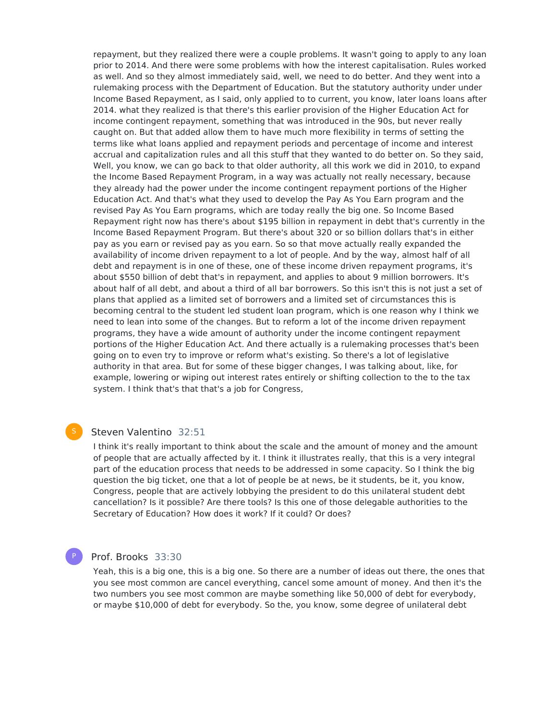repayment, but they realized there were a couple problems. It wasn't going to apply to any loan prior to 2014. And there were some problems with how the interest capitalisation. Rules worked as well. And so they almost immediately said, well, we need to do better. And they went into a rulemaking process with the Department of Education. But the statutory authority under under Income Based Repayment, as I said, only applied to to current, you know, later loans loans after 2014. what they realized is that there's this earlier provision of the Higher Education Act for income contingent repayment, something that was introduced in the 90s, but never really caught on. But that added allow them to have much more flexibility in terms of setting the terms like what loans applied and repayment periods and percentage of income and interest accrual and capitalization rules and all this stuff that they wanted to do better on. So they said, Well, you know, we can go back to that older authority, all this work we did in 2010, to expand the Income Based Repayment Program, in a way was actually not really necessary, because they already had the power under the income contingent repayment portions of the Higher Education Act. And that's what they used to develop the Pay As You Earn program and the revised Pay As You Earn programs, which are today really the big one. So Income Based Repayment right now has there's about \$195 billion in repayment in debt that's currently in the Income Based Repayment Program. But there's about 320 or so billion dollars that's in either pay as you earn or revised pay as you earn. So so that move actually really expanded the availability of income driven repayment to a lot of people. And by the way, almost half of all debt and repayment is in one of these, one of these income driven repayment programs, it's about \$550 billion of debt that's in repayment, and applies to about 9 million borrowers. It's about half of all debt, and about a third of all bar borrowers. So this isn't this is not just a set of plans that applied as a limited set of borrowers and a limited set of circumstances this is becoming central to the student led student loan program, which is one reason why I think we need to lean into some of the changes. But to reform a lot of the income driven repayment programs, they have a wide amount of authority under the income contingent repayment portions of the Higher Education Act. And there actually is a rulemaking processes that's been going on to even try to improve or reform what's existing. So there's a lot of legislative authority in that area. But for some of these bigger changes, I was talking about, like, for example, lowering or wiping out interest rates entirely or shifting collection to the to the tax system. I think that's that that's a job for Congress,

# Steven Valentino 32:51

I think it's really important to think about the scale and the amount of money and the amount of people that are actually affected by it. I think it illustrates really, that this is a very integral part of the education process that needs to be addressed in some capacity. So I think the big question the big ticket, one that a lot of people be at news, be it students, be it, you know, Congress, people that are actively lobbying the president to do this unilateral student debt cancellation? Is it possible? Are there tools? Is this one of those delegable authorities to the Secretary of Education? How does it work? If it could? Or does?

# P

#### Prof. Brooks 33:30

Yeah, this is a big one, this is a big one. So there are a number of ideas out there, the ones that you see most common are cancel everything, cancel some amount of money. And then it's the two numbers you see most common are maybe something like 50,000 of debt for everybody, or maybe \$10,000 of debt for everybody. So the, you know, some degree of unilateral debt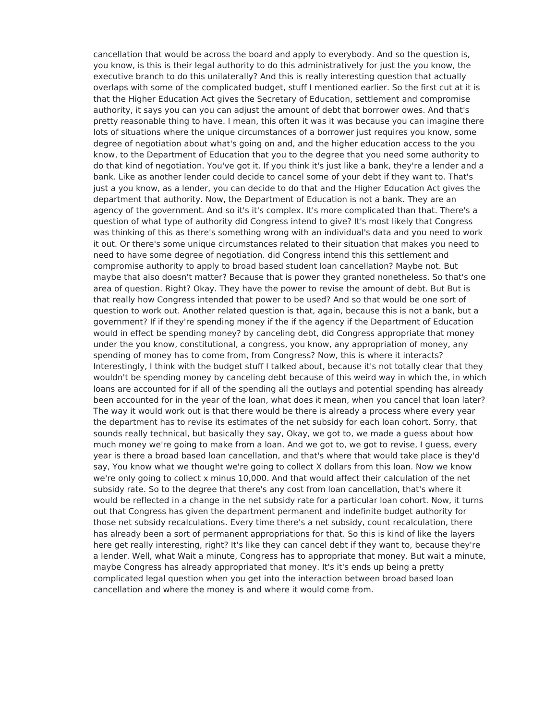cancellation that would be across the board and apply to everybody. And so the question is, you know, is this is their legal authority to do this administratively for just the you know, the executive branch to do this unilaterally? And this is really interesting question that actually overlaps with some of the complicated budget, stuff I mentioned earlier. So the first cut at it is that the Higher Education Act gives the Secretary of Education, settlement and compromise authority, it says you can you can adjust the amount of debt that borrower owes. And that's pretty reasonable thing to have. I mean, this often it was it was because you can imagine there lots of situations where the unique circumstances of a borrower just requires you know, some degree of negotiation about what's going on and, and the higher education access to the you know, to the Department of Education that you to the degree that you need some authority to do that kind of negotiation. You've got it. If you think it's just like a bank, they're a lender and a bank. Like as another lender could decide to cancel some of your debt if they want to. That's just a you know, as a lender, you can decide to do that and the Higher Education Act gives the department that authority. Now, the Department of Education is not a bank. They are an agency of the government. And so it's it's complex. It's more complicated than that. There's a question of what type of authority did Congress intend to give? It's most likely that Congress was thinking of this as there's something wrong with an individual's data and you need to work it out. Or there's some unique circumstances related to their situation that makes you need to need to have some degree of negotiation. did Congress intend this this settlement and compromise authority to apply to broad based student loan cancellation? Maybe not. But maybe that also doesn't matter? Because that is power they granted nonetheless. So that's one area of question. Right? Okay. They have the power to revise the amount of debt. But But is that really how Congress intended that power to be used? And so that would be one sort of question to work out. Another related question is that, again, because this is not a bank, but a government? If if they're spending money if the if the agency if the Department of Education would in effect be spending money? by canceling debt, did Congress appropriate that money under the you know, constitutional, a congress, you know, any appropriation of money, any spending of money has to come from, from Congress? Now, this is where it interacts? Interestingly, I think with the budget stuff I talked about, because it's not totally clear that they wouldn't be spending money by canceling debt because of this weird way in which the, in which loans are accounted for if all of the spending all the outlays and potential spending has already been accounted for in the year of the loan, what does it mean, when you cancel that loan later? The way it would work out is that there would be there is already a process where every year the department has to revise its estimates of the net subsidy for each loan cohort. Sorry, that sounds really technical, but basically they say, Okay, we got to, we made a guess about how much money we're going to make from a loan. And we got to, we got to revise, I guess, every year is there a broad based loan cancellation, and that's where that would take place is they'd say, You know what we thought we're going to collect X dollars from this loan. Now we know we're only going to collect x minus 10,000. And that would affect their calculation of the net subsidy rate. So to the degree that there's any cost from loan cancellation, that's where it would be reflected in a change in the net subsidy rate for a particular loan cohort. Now, it turns out that Congress has given the department permanent and indefinite budget authority for those net subsidy recalculations. Every time there's a net subsidy, count recalculation, there has already been a sort of permanent appropriations for that. So this is kind of like the layers here get really interesting, right? It's like they can cancel debt if they want to, because they're a lender. Well, what Wait a minute, Congress has to appropriate that money. But wait a minute, maybe Congress has already appropriated that money. It's it's ends up being a pretty complicated legal question when you get into the interaction between broad based loan cancellation and where the money is and where it would come from.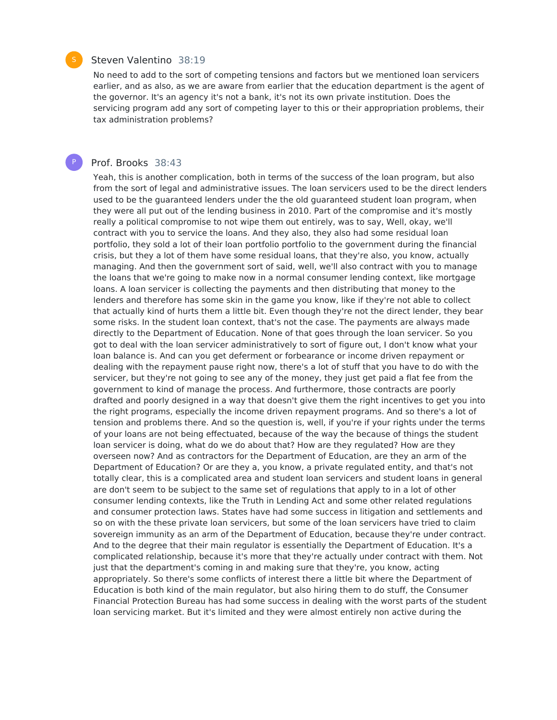#### Steven Valentino 38:19

No need to add to the sort of competing tensions and factors but we mentioned loan servicers earlier, and as also, as we are aware from earlier that the education department is the agent of the governor. It's an agency it's not a bank, it's not its own private institution. Does the servicing program add any sort of competing layer to this or their appropriation problems, their tax administration problems?

#### Prof. Brooks 38:43

Yeah, this is another complication, both in terms of the success of the loan program, but also from the sort of legal and administrative issues. The loan servicers used to be the direct lenders used to be the guaranteed lenders under the the old guaranteed student loan program, when they were all put out of the lending business in 2010. Part of the compromise and it's mostly really a political compromise to not wipe them out entirely, was to say, Well, okay, we'll contract with you to service the loans. And they also, they also had some residual loan portfolio, they sold a lot of their loan portfolio portfolio to the government during the financial crisis, but they a lot of them have some residual loans, that they're also, you know, actually managing. And then the government sort of said, well, we'll also contract with you to manage the loans that we're going to make now in a normal consumer lending context, like mortgage loans. A loan servicer is collecting the payments and then distributing that money to the lenders and therefore has some skin in the game you know, like if they're not able to collect that actually kind of hurts them a little bit. Even though they're not the direct lender, they bear some risks. In the student loan context, that's not the case. The payments are always made directly to the Department of Education. None of that goes through the loan servicer. So you got to deal with the loan servicer administratively to sort of figure out, I don't know what your loan balance is. And can you get deferment or forbearance or income driven repayment or dealing with the repayment pause right now, there's a lot of stuff that you have to do with the servicer, but they're not going to see any of the money, they just get paid a flat fee from the government to kind of manage the process. And furthermore, those contracts are poorly drafted and poorly designed in a way that doesn't give them the right incentives to get you into the right programs, especially the income driven repayment programs. And so there's a lot of tension and problems there. And so the question is, well, if you're if your rights under the terms of your loans are not being effectuated, because of the way the because of things the student loan servicer is doing, what do we do about that? How are they regulated? How are they overseen now? And as contractors for the Department of Education, are they an arm of the Department of Education? Or are they a, you know, a private regulated entity, and that's not totally clear, this is a complicated area and student loan servicers and student loans in general are don't seem to be subject to the same set of regulations that apply to in a lot of other consumer lending contexts, like the Truth in Lending Act and some other related regulations and consumer protection laws. States have had some success in litigation and settlements and so on with the these private loan servicers, but some of the loan servicers have tried to claim sovereign immunity as an arm of the Department of Education, because they're under contract. And to the degree that their main regulator is essentially the Department of Education. It's a complicated relationship, because it's more that they're actually under contract with them. Not just that the department's coming in and making sure that they're, you know, acting appropriately. So there's some conflicts of interest there a little bit where the Department of Education is both kind of the main regulator, but also hiring them to do stuff, the Consumer Financial Protection Bureau has had some success in dealing with the worst parts of the student loan servicing market. But it's limited and they were almost entirely non active during the



P